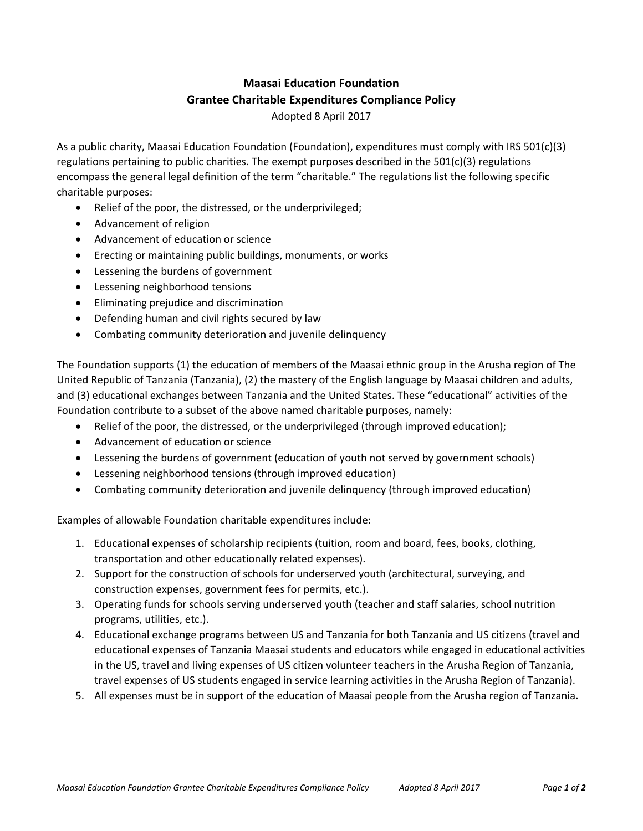## **Maasai Education Foundation Grantee Charitable Expenditures Compliance Policy**

Adopted 8 April 2017

As a public charity, Maasai Education Foundation (Foundation), expenditures must comply with IRS 501(c)(3) regulations pertaining to public charities. The exempt purposes described in the 501(c)(3) regulations encompass the general legal definition of the term "charitable." The regulations list the following specific charitable purposes:

- Relief of the poor, the distressed, or the underprivileged;
- Advancement of religion
- Advancement of education or science
- Erecting or maintaining public buildings, monuments, or works
- Lessening the burdens of government
- Lessening neighborhood tensions
- Eliminating prejudice and discrimination
- Defending human and civil rights secured by law
- Combating community deterioration and juvenile delinquency

The Foundation supports (1) the education of members of the Maasai ethnic group in the Arusha region of The United Republic of Tanzania (Tanzania), (2) the mastery of the English language by Maasai children and adults, and (3) educational exchanges between Tanzania and the United States. These "educational" activities of the Foundation contribute to a subset of the above named charitable purposes, namely:

- Relief of the poor, the distressed, or the underprivileged (through improved education);
- Advancement of education or science
- Lessening the burdens of government (education of youth not served by government schools)
- Lessening neighborhood tensions (through improved education)
- Combating community deterioration and juvenile delinquency (through improved education)

Examples of allowable Foundation charitable expenditures include:

- 1. Educational expenses of scholarship recipients (tuition, room and board, fees, books, clothing, transportation and other educationally related expenses).
- 2. Support for the construction of schools for underserved youth (architectural, surveying, and construction expenses, government fees for permits, etc.).
- 3. Operating funds for schools serving underserved youth (teacher and staff salaries, school nutrition programs, utilities, etc.).
- 4. Educational exchange programs between US and Tanzania for both Tanzania and US citizens (travel and educational expenses of Tanzania Maasai students and educators while engaged in educational activities in the US, travel and living expenses of US citizen volunteer teachers in the Arusha Region of Tanzania, travel expenses of US students engaged in service learning activities in the Arusha Region of Tanzania).
- 5. All expenses must be in support of the education of Maasai people from the Arusha region of Tanzania.